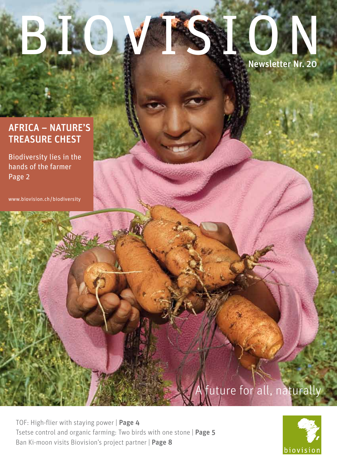# BIOVISION Newsletter Nr. 20

# AFRICA – NATURE'S TREASURE CHEST

Biodiversity lies in the hands of the farmer Page 2

www.biovision.ch / biodiversity

future for all, naturally

TOF: High-flier with staying power | Page 4 Tsetse control and organic farming: Two birds with one stone | Page 5 Ban Ki-moon visits Biovision's project partner | Page 8

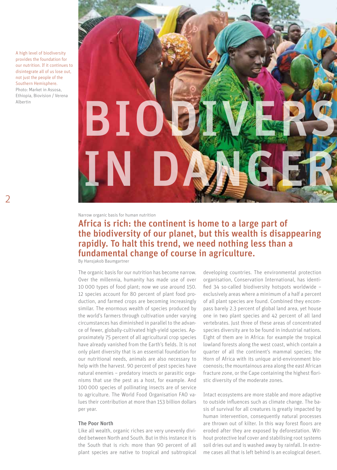A high level of biodiversity provides the foundation for our nutrition. If it continues to disintegrate all of us lose out, not just the people of the Southern Hemisphere. Photo: Market in Assosa, Ethiopia, Biovision / Verena Albertin

2



Narrow organic basis for human nutrition

## Africa is rich: the continent is home to a large part of the biodiversity of our planet, but this wealth is disappearing rapidly. To halt this trend, we need nothing less than a fundamental change of course in agriculture.

By Hansjakob Baumgartner

The organic basis for our nutrition has become narrow. Over the millennia, humanity has made use of over 10 000 types of food plant; now we use around 150. 12 species account for 80 percent of plant food production, and farmed crops are becoming increasingly similar. The enormous wealth of species produced by the world's farmers through cultivation under varying circumstances has diminished in parallel to the advance of fewer, globally-cultivated high-yield species. Approximately 75 percent of all agricultural crop species have already vanished from the Earth's fields. It is not only plant diversity that is an essential foundation for our nutritional needs, animals are also necessary to help with the harvest. 90 percent of pest species have natural enemies – predatory insects or parasitic organisms that use the pest as a host, for example. And 100 000 species of pollinating insects are of service to agriculture. The World Food Organisation FAO values their contribution at more than 153 billion dollars per year.

#### The Poor North

Like all wealth, organic riches are very unevenly divided between North and South. But in this instance it is the South that is rich: more than 90 percent of all plant species are native to tropical and subtropical developing countries. The environmental protection organisation, Conservation International, has identified 34 so-called biodiversity hotspots worldwide – exclusively areas where a minimum of a half a percent of all plant species are found. Combined they encompass barely 2.3 percent of global land area, yet house one in two plant species and 42 percent of all land vertebrates. Just three of these areas of concentrated species diversity are to be found in industrial nations. Eight of them are in Africa: for example the tropical lowland forests along the west coast, which contain a quarter of all the continent's mammal species; the Horn of Africa with its unique arid-environment biocoenosis; the mountainous area along the east African fracture zone, or the Cape containing the highest floristic diversity of the moderate zones.

Intact ecosystems are more stable and more adaptive to outside influences such as climate change. The basis of survival for all creatures is greatly impacted by human intervention, consequently natural processes are thrown out of kilter. In this way forest floors are eroded after they are exposed by deforestation. Without protective leaf cover and stabilising root systems soil dries out and is washed away by rainfall. In extreme cases all that is left behind is an ecological desert.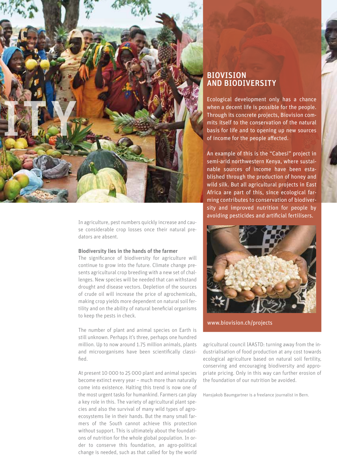

In agriculture, pest numbers quickly increase and cause considerable crop losses once their natural predators are absent.

#### Biodiversity lies in the hands of the farmer

The significance of biodiversity for agriculture will continue to grow into the future. Climate change presents agricultural crop breeding with a new set of challenges. New species will be needed that can withstand drought and disease vectors. Depletion of the sources of crude oil will increase the price of agrochemicals, making crop yields more dependent on natural soil fertility and on the ability of natural beneficial organisms to keep the pests in check.

The number of plant and animal species on Earth is still unknown. Perhaps it's three, perhaps one hundred million. Up to now around 1.75 million animals, plants and microorganisms have been scientifically classified.

At present 10 000 to 25 000 plant and animal species become extinct every year – much more than naturally come into existence. Halting this trend is now one of the most urgent tasks for humankind. Farmers can play a key role in this. The variety of agricultural plant species and also the survival of many wild types of agroecosystems lie in their hands. But the many small farmers of the South cannot achieve this protection without support. This is ultimately about the foundations of nutrition for the whole global population. In order to conserve this foundation, an agro-political change is needed, such as that called for by the world

## BIOVISION AND BIODIVERSITY

Ecological development only has a chance when a decent life is possible for the people. Through its concrete projects, Biovision commits itself to the conservation of the natural basis for life and to opening up new sources of income for the people affected.

An example of this is the "Cabesi" project in semi-arid northwestern Kenya, where sustainable sources of income have been established through the production of honey and wild silk. But all agricultural projects in East Africa are part of this, since ecological farming contributes to conservation of biodiversity and improved nutrition for people by avoiding pesticides and artificial fertilisers.



www.biovision.ch/projects

agricultural council IAASTD: turning away from the industrialisation of food production at any cost towards ecological agriculture based on natural soil fertility, conserving and encouraging biodiversity and appropriate pricing. Only in this way can further erosion of the foundation of our nutrition be avoided.

Hansjakob Baumgartner is a freelance journalist in Bern.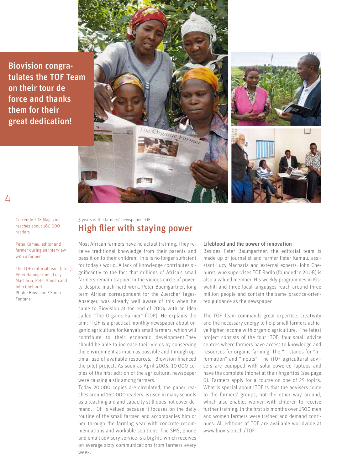Biovision congratulates the TOF Team on their tour de force and thanks them for their great dedication!



Currently TOF Magazine reaches about 160 000 readers

 $\Delta$ 

Peter Kamau, editor and farmer during an interview with a farmer

The TOF editorial team (l to r): Peter Baumgartner, Lucy Macharia, Peter Kamau and John Cheburet. Photo: Biovision / Sonia Fontana

## 5 years of the farmers' newspaper TOF High flier with staying power

Most African farmers have no actual training. They receive traditional knowledge from their parents and pass it on to their children. This is no longer sufficient for today's world. A lack of knowledge contributes significantly to the fact that millions of Africa's small farmers remain trapped in the vicious circle of poverty despite much hard work. Peter Baumgartner, long term African correspondent for the Zuercher Tages-Anzeiger, was already well aware of this when he came to Biovision at the end of 2004 with an idea called "The Organic Farmer" (TOF). He explains the aim: "TOF is a practical monthly newspaper about organic agriculture for Kenya's small farmers, which will contribute to their economic development.They should be able to increase their yields by conserving the environment as much as possible and through optimal use of available resources." Biovision financed the pilot project. As soon as April 2005, 10 000 copies of the first edition of the agricultural newspaper were causing a stir among farmers.

Today 20 000 copies are circulated, the paper reaches around 160 000 readers, is used in many schools as a teaching aid and capacity still does not cover demand. TOF is valued because it focuses on the daily routine of the small farmer, and accompanies him or her through the farming year with concrete recommendations and workable solutions. The SMS, phone and email advisory service is a big hit, which receives on average sixty communications from farmers every week.

#### Lifeblood and the power of innovation

Besides Peter Baumgartner, the editorial team is made up of journalist and farmer Peter Kamau, assistant Lucy Macharia and external experts. John Cheburet, who supervises TOF Radio (founded in 2008) is also a valued member. His weekly programmes in Kiswahili and three local languages reach around three million people and contain the same practice-oriented guidance as the newspaper.

The TOF Team commands great expertise, creativity and the necessary energy to help small farmers achieve higher income with organic agriculture. The latest project consists of the four iTOF, four small advice centres where farmers have access to knowledge and resources for organic farming. The "i" stands for "information" and "inputs". The iTOF agricultural advisers are equipped with solar-powered laptops and have the complete Infonet at their fingertips (see page 6). Farmers apply for a course on one of 25 topics. What is special about iTOF is that the advisers come to the farmers' groups, not the other way around, which also enables women with children to receive further training. In the first six months over 1500 men and women farmers were trained and demand continues. All editions of TOF are available worldwide at www.biovision.ch /TOF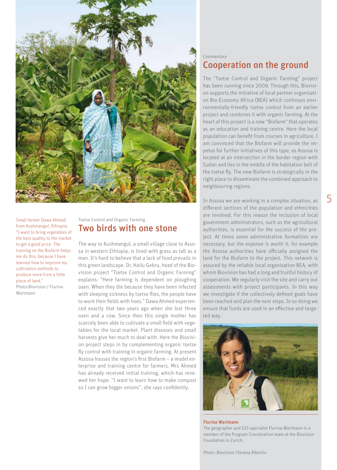

Small farmer Dawa Ahmed from Kushmangul, Ethiopia: "I want to bring vegetables of the best quality to the market to get a good price. The training on the Biofarm helps me do this, because I have learned how to improve my cultivation methods to produce more from a little piece of land."

Photo:Biovision / Flurina Wartmann

## Tsetse Control and Organic Farming Two birds with one stone

The way to Kushmangul, a small village close to Assosa in western Ethiopia, is lined with grass as tall as a man. It's hard to believe that a lack of food prevails in this green landscape. Dr. Hailu Gebru, head of the Biovision project "Tsetse Control and Organic Farming" explains: "Here farming is dependent on ploughing oxen. When they die because they have been infected with sleeping sickness by tsetse flies, the people have to work their fields with hoes." Dawa Ahmed experienced exactly that two years ago when she lost three oxen and a cow. Since then this single mother has scarcely been able to cultivate a small field with vegetables for the local market. Plant diseases and small harvests give her much to deal with. Here the Biovision project steps in by complementing organic tsetse fly control with training in organic farming. At present Assosa houses the region's first Biofarm – a model enterprise and training centre for farmers. Mrs Ahmed has already received initial training, which has renewed her hope: "I want to learn how to make compost so I can grow bigger onions", she says confidently.

## Commentary Cooperation on the ground

The "Tsetse Control and Organic Farming" project has been running since 2009. Through this, Biovision supports the initiative of local partner organisation Bio-Economy Africa (BEA) which continues environmentally-friendly tsetse control from an earlier project and combines it with organic farming. At the heart of this project is a new "Biofarm" that operates as an education and training centre. Here the local population can benefit from courses in agriculture. I am convinced that the Biofarm will provide the impetus for further initiatives of this type, as Assosa is located at an intersection in the border region with Sudan and lies in the middle of the habitation belt of the tsetse fly. The new Biofarm is strategically in the right place to disseminate the combined approach to neighbouring regions.

In Assosa we are working in a complex situation, as different sections of the population and ethnicities are involved. For this reason the inclusion of local government administrators, such as the agricultural authorities, is essential for the success of the project. At times some administrative formalities are necessary, but the expense is worth it: for example the Assosa authorities have officially assigned the land for the Biofarm to the project. This network is assured by the reliable local organisation BEA, with whom Biovision has had a long and fruitful history of cooperation. We regularly visit the site and carry out assessments with project participants. In this way we investigate if the collectively defined goals have been reached and plan the next steps. In so doing we ensure that funds are used in an effective and targeted way.



#### Flurina Wartmann

The geographer and GIS-specialist Flurina Wartmann is a member of the Program Coordination team at the Biovision Foundation in Zurich.

Photo: Biovision /Verena Albertin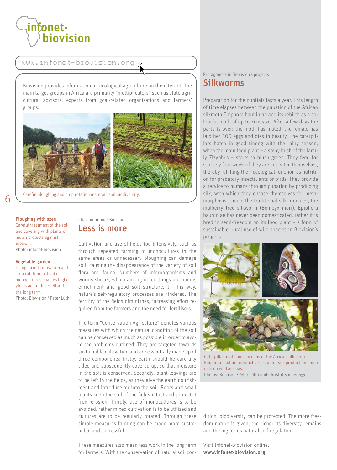

www.infonet-biovision.org

Biovision provides information on ecological agriculture on the internet. The main target groups in Africa are primarily "multiplicators" such as state agricultural advisors, experts from goal-related organisations and farmers' groups.



Careful ploughing and crop rotation maintain soil biodiversity.

Ploughing with oxen Careful treatment of the soil and covering with plants or mulch protects against erosion. Photo: infonet-biovision

#### Vegetable garden

6

Using mixed cultivation and crop rotation instead of monocultures enables higher yields and reduces effort in the long term. Photo: Biovision / Peter Lüthi Click on Infonet-Biovision Less is more

Cultivation and use of fields too intensively, such as through repeated farming of monocultures in the same areas or unnecessary ploughing can damage soil, causing the disappearance of the variety of soil flora and fauna. Numbers of microorganisms and worms shrink, which among other things aid humus enrichment and good soil structure. In this way, nature's self-regulatory processes are hindered. The fertility of the fields diminishes, increasing effort required from the farmers and the need for fertilisers.

The term "Conservation Agriculture" denotes various measures with which the natural condition of the soil can be conserved as much as possible in order to avoid the problems outlined. They are targeted towards sustainable cultivation and are essentially made up of three components: firstly, earth should be carefully tilled and subsequently covered up, so that moisture in the soil is conserved. Secondly, plant leavings are to be left in the fields, as they give the earth nourishment and introduce air into the soil. Roots and small plants keep the soil of the fields intact and protect it from erosion. Thirdly, use of monocultures is to be avoided, rather mixed cultivation is to be utilised and cultures are to be regularly rotated. Through these simple measures farming can be made more sustainable and successful.

These measures also mean less work in the long term for farmers. With the conservation of natural soil con-

### Protagonists in Biovision's projects Silkworms

Preparation for the nuptials lasts a year. This length of time elapses between the pupation of the African silkmoth Epiphora bauhiniae and its rebirth as a colourful moth of up to 7cm size. After a few days the party is over: the moth has mated, the female has laid her 300 eggs and dies in beauty. The caterpillars hatch in good timing with the rainy season, when the main food plant – a spiny bush of the family Zizyphus – starts to blush green. They feed for scarcely four weeks if they are not eaten themselves, thereby fulfilling their ecological function as nutrition for predatory insects, ants or birds. They provide a service to humans through pupation by producing silk, with which they encase themselves for metamorphosis. Unlike the traditional silk producer, the mulberry tree silkworm (Bombyx mori), Epiphora bauhiniae has never been domesticated, rather it is bred in semi-freedom on its food plant – a form of sustainable, rural use of wild species in Biovision's projects.



Caterpillar, moth and cocoons of the African silk moth Epiphora bauhiniae, which are kept for silk production under nets on wild acacias. Photos: Biovison /Peter Lüthi und Christof Sonderegger

dition, biodiversity can be protected. The more freedom nature is given, the richer its diversity remains and the higher its natural self-regulation.

Visit Infonet-Biovision online: www.infonet-biovision.org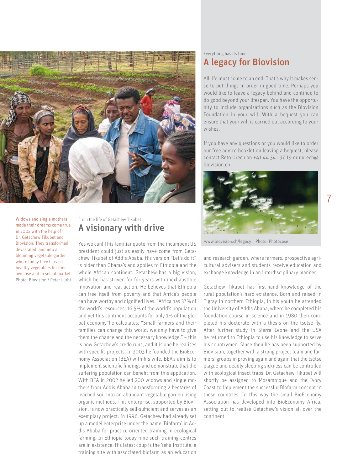

Widows and single mothers made their dreams come true in 2002 with the help of Dr. Getachew Tikubet and Biovision. They transformed devastated land into a blooming vegetable garden, where today they harvest healthy vegetables for their own use and to sell at market. Photo: Biovision / Peter Lüthi

## From the life of Getachew Tikubet A visionary with drive

Yes we can! This familiar quote from the incumbent US president could just as easily have come from Getachew Tikubet of Addis Ababa. His version "Let's do it" is older than Obama's and applies to Ethiopia and the whole African continent. Getachew has a big vision, which he has striven for for years with inexhaustible innovation and real action. He believes that Ethiopia can free itself from poverty and that Africa's people can have worthy and dignified lives. "Africa has 37% of the world's resources, 16.5% of the world's population and yet this continent accounts for only 1% of the global economy"he calculates. "Small farmers and their families can change this world, we only have to give them the chance and the necessary knowledge!" – this is how Getachew's credo runs, and it is one he realises with specific projects. In 2003 he founded the BioEconomy Association (BEA) with his wife. BEA's aim is to implement scientific findings and demonstrate that the suffering population can benefit from this application. With BEA in 2002 he led 200 widows and single mothers from Addis Ababa in transforming 2 hectares of leached soil into an abundant vegetable garden using organic methods. This enterprise, supported by Biovision, is now practically self-sufficient and serves as an exemplary project. In 1996, Getachew had already set up a model enterprise under the name 'Biofarm' in Addis Ababa for practice-oriented training in ecological farming. In Ethiopia today nine such training centres are in existence. His latest coup is the Yeha Institute, a training site with associated biofarm as an education

## Everything has its time A legacy for Biovision

All life must come to an end. That's why it makes sense to put things in order in good time. Perhaps you would like to leave a legacy behind and continue to do good beyond your lifespan. You have the opportunity to include organisations such as the Biovision Foundation in your will. With a bequest you can ensure that your will is carried out according to your wishes.

If you have any questions or you would like to order our free advice booklet on leaving a bequest, please contact Reto Urech on +41 44 341 97 19 or r.urech@ biovision.ch



www.biovision.ch/legacy Photo: Photocase

and research garden, where farmers, prospective agricultural advisers and students receive education and exchange knowledge in an interdisciplinary manner.

Getachew Tikubet has first-hand knowledge of the rural population's hard existence. Born and raised in Tigray in northern Ethiopia, in his youth he attended the University of Addis Ababa, where he completed his foundation course in science and in 1980 then completed his doctorate with a thesis on the tsetse fly. After further study in Sierra Leone and the USA he returned to Ethiopia to use his knowledge to serve his countrymen. Since then he has been supported by Biovision, together with a strong project team and farmers' groups in proving again and again that the tsetse plague and deadly sleeping sickness can be controlled with ecological insect traps. Dr. Getachew Tikubet will shortly be assigned to Mozambique and the Ivory Coast to implement the successful Biofarm concept in these countries. In this way the small BioEconomy Association has developed into BioEconomy Africa, setting out to realise Getachew's vision all over the continent.